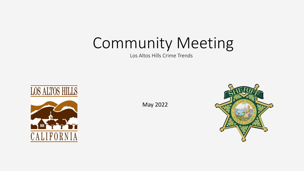# Community Meeting

Los Altos Hills Crime Trends



May 2022

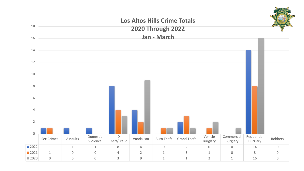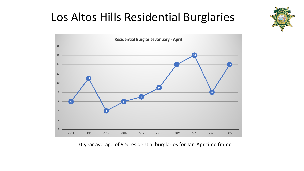# Los Altos Hills Residential Burglaries





= 10-year average of 9.5 residential burglaries for Jan-Apr time frame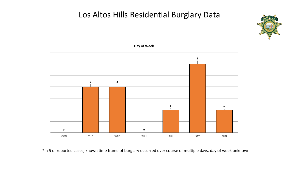### Los Altos Hills Residential Burglary Data





\*In 5 of reported cases, known time frame of burglary occurred over course of multiple days, day of week unknown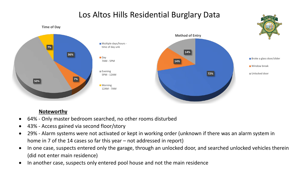## Los Altos Hills Residential Burglary Data



#### **Noteworthy**

- 64% Only master bedroom searched, no other rooms disturbed
- 43% Access gained via second floor/story
- 29% Alarm systems were not activated or kept in working order (unknown if there was an alarm system in home in 7 of the 14 cases so far this year – not addressed in report)
- In one case, suspects entered only the garage, through an unlocked door, and searched unlocked vehicles therein (did not enter main residence)
- In another case, suspects only entered pool house and not the main residence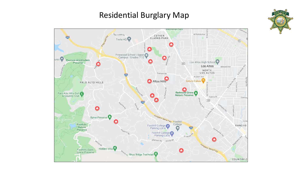## Residential Burglary Map



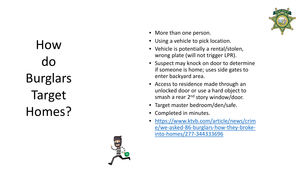How do Burglars Target Homes?





- More than one person.
- Using a vehicle to pick location.
- Vehicle is potentially a rental/stolen, wrong plate (will not trigger LPR).
- Suspect may knock on door to determine if someone is home; uses side gates to enter backyard area.
- Access to residence made through an unlocked door or use a hard object to smash a rear 2<sup>nd</sup> story window/door.
- Target master bedroom/den/safe.
- Completed in minutes.
- [https://www.ktvb.com/article/news/crim](https://www.ktvb.com/article/news/crime/we-asked-86-burglars-how-they-broke-into-homes/277-344333696) e/we-asked-86-burglars-how-they-brokeinto -homes/277 -344333696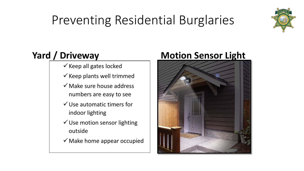# Preventing Residential Burglaries



## **Yard / Driveway**

- $\checkmark$  Keep all gates locked
- $\checkmark$  Keep plants well trimmed
- $\checkmark$  Make sure house address numbers are easy to see
- $\checkmark$  Use automatic timers for indoor lighting
- $\checkmark$  Use motion sensor lighting outside
- $\checkmark$  Make home appear occupied

## **Motion Sensor Light**

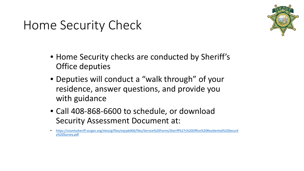# Home Security Check

- Home Security checks are conducted by Sheriff's Office deputies
- Deputies will conduct a "walk through" of your residence, answer questions, and provide you with guidance
- Call 408-868-6600 to schedule, or download Security Assessment Document at:

<sup>•</sup> [https://countysheriff.sccgov.org/sites/g/files/exjcpb406/files/Service%20Forms/Sheriff%27s%20Office%20Residential%20Securit](https://countysheriff.sccgov.org/sites/g/files/exjcpb406/files/Service%20Forms/Sheriff%27s%20Office%20Residential%20Security%20Survey.pdf) y%20Survey.pdf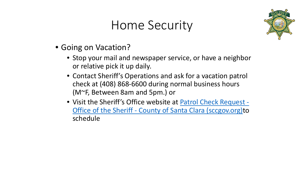# Home Security



- Going on Vacation?
	- Stop your mail and newspaper service, or have a neighbor or relative pick it up daily.
	- Contact Sheriff's Operations and ask for a vacation patrol check at (408) 868-6600 during normal business hours (M~F, Between 8am and 5pm.) or
	- [Visit the Sheriff's Office website at Patrol Check Request -](https://countysheriff.sccgov.org/services/patrol-check-request) Office of the Sheriff - County of Santa Clara (sccgov.org)to schedule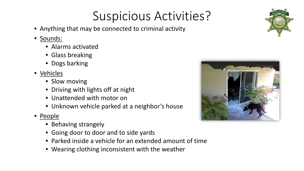# Suspicious Activities?

- Anything that may be connected to criminal activity
- Sounds:
	- Alarms activated
	- Glass breaking
	- Dogs barking
- Vehicles
	- Slow moving
	- Driving with lights off at night
	- Unattended with motor on
	- Unknown vehicle parked at a neighbor's house
- People
	- Behaving strangely
	- Going door to door and to side yards
	- Parked inside a vehicle for an extended amount of time
	- Wearing clothing inconsistent with the weather